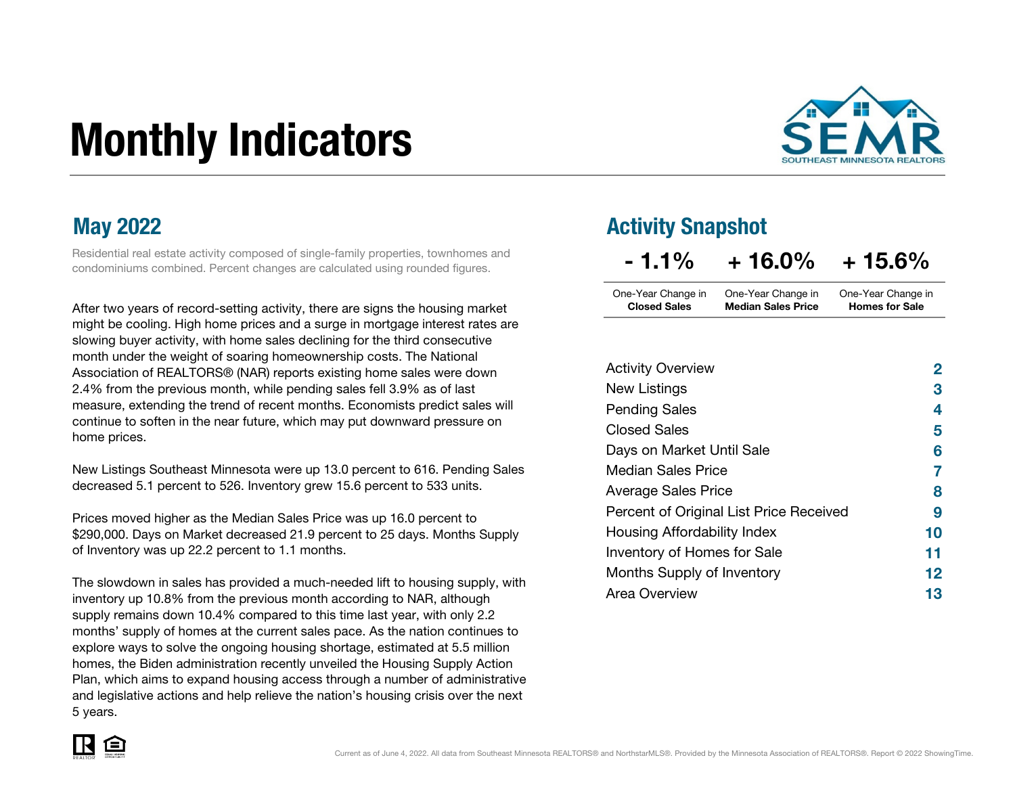# Monthly Indicators



Residential real estate activity composed of single-family properties, townhomes and condominiums combined. Percent changes are calculated using rounded figures.

After two years of record-setting activity, there are signs the housing market might be cooling. High home prices and a surge in mortgage interest rates are slowing buyer activity, with home sales declining for the third consecutive month under the weight of soaring homeownership costs. The National Association of REALTORS® (NAR) reports existing home sales were down 2.4% from the previous month, while pending sales fell 3.9% as of last measure, extending the trend of recent months. Economists predict sales will continue to soften in the near future, which may put downward pressure on home prices.

New Listings Southeast Minnesota were up 13.0 percent to 616. Pending Sales decreased 5.1 percent to 526. Inventory grew 15.6 percent to 533 units.

Prices moved higher as the Median Sales Price was up 16.0 percent to \$290,000. Days on Market decreased 21.9 percent to 25 days. Months Supply of Inventory was up 22.2 percent to 1.1 months.

The slowdown in sales has provided a much-needed lift to housing supply, with inventory up 10.8% from the previous month according to NAR, although supply remains down 10.4% compared to this time last year, with only 2.2 months' supply of homes at the current sales pace. As the nation continues to explore ways to solve the ongoing housing shortage, estimated at 5.5 million homes, the Biden administration recently unveiled the Housing Supply Action Plan, which aims to expand housing access through a number of administrative and legislative actions and help relieve the nation's housing crisis over the next 5 years.

### May 2022 **May 2022 Activity Snapshot**

| $-1.1\%$            | $+16.0\%$                 | $+15.6%$              |
|---------------------|---------------------------|-----------------------|
| One-Year Change in  | One-Year Change in        | One-Year Change in    |
| <b>Closed Sales</b> | <b>Median Sales Price</b> | <b>Homes for Sale</b> |

| <b>Activity Overview</b>                | 2  |
|-----------------------------------------|----|
| New Listings                            | З  |
| <b>Pending Sales</b>                    | 4  |
| <b>Closed Sales</b>                     | 5  |
| Days on Market Until Sale               | 6  |
| <b>Median Sales Price</b>               | 7  |
| <b>Average Sales Price</b>              | 8  |
| Percent of Original List Price Received | 9  |
| Housing Affordability Index             | 10 |
| <b>Inventory of Homes for Sale</b>      | 11 |
| Months Supply of Inventory              | 12 |
| Area Overview                           | 13 |

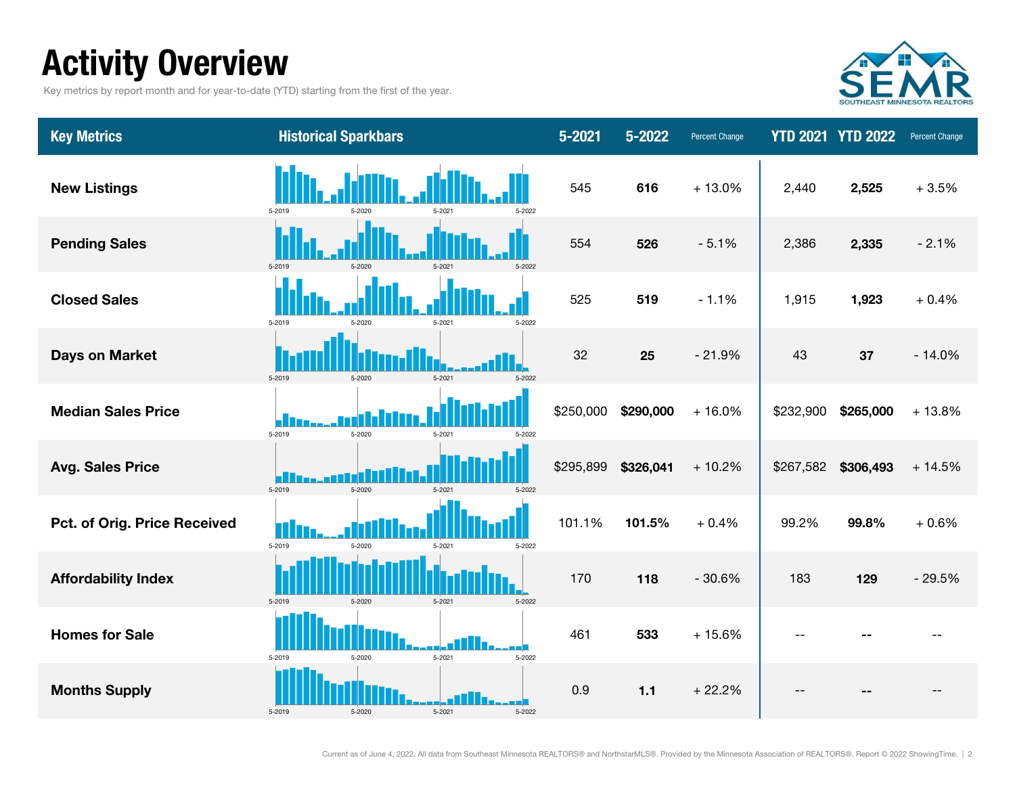### Activity Overview

Key metrics by report month and for year-to-date (YTD) starting from the first of the year.



| <b>Key Metrics</b>           | <b>Historical Sparkbars</b>              | $5 - 2021$ | 5-2022    | <b>Percent Change</b> |           | <b>YTD 2021 YTD 2022</b> | Percent Change |
|------------------------------|------------------------------------------|------------|-----------|-----------------------|-----------|--------------------------|----------------|
| <b>New Listings</b>          | 5-2019<br>5-2022<br>5-2020<br>5-2021     | 545        | 616       | $+13.0%$              | 2,440     | 2,525                    | $+3.5%$        |
| <b>Pending Sales</b>         | 5-2019<br>$5 - 2020$<br>5-2022<br>5-2021 | 554        | 526       | $-5.1%$               | 2,386     | 2,335                    | $-2.1%$        |
| <b>Closed Sales</b>          | 5-2019<br>$5 - 2021$<br>5-2022           | 525        | 519       | $-1.1%$               | 1,915     | 1,923                    | $+0.4%$        |
| <b>Days on Market</b>        | 5-2019<br>5-2020<br>$5 - 2021$<br>5-2022 | 32         | 25        | $-21.9%$              | 43        | 37                       | $-14.0%$       |
| <b>Median Sales Price</b>    | 5-2019<br>5-2020<br>$5 - 2021$<br>5-2022 | \$250,000  | \$290,000 | $+16.0%$              | \$232,900 | \$265,000                | $+13.8%$       |
| <b>Avg. Sales Price</b>      | 5-2019<br>5-2020<br>5-2021<br>5-2022     | \$295,899  | \$326,041 | $+10.2%$              | \$267,582 | \$306,493                | $+14.5%$       |
| Pct. of Orig. Price Received | 5-2019<br>5-2020<br>5-2021<br>5-2022     | 101.1%     | 101.5%    | $+0.4%$               | 99.2%     | 99.8%                    | $+0.6%$        |
| <b>Affordability Index</b>   | 5-2019<br>5-2020<br>$5 - 2021$<br>5-2022 | 170        | 118       | $-30.6%$              | 183       | 129                      | $-29.5%$       |
| <b>Homes for Sale</b>        | 5-2019<br>5-2021<br>5-2020<br>5-2022     | 461        | 533       | $+15.6%$              | $-1$      |                          |                |
| <b>Months Supply</b>         | 5-2019<br>5-2021<br>5-2020<br>5-2022     | 0.9        | $1.1$     | $+22.2%$              |           |                          |                |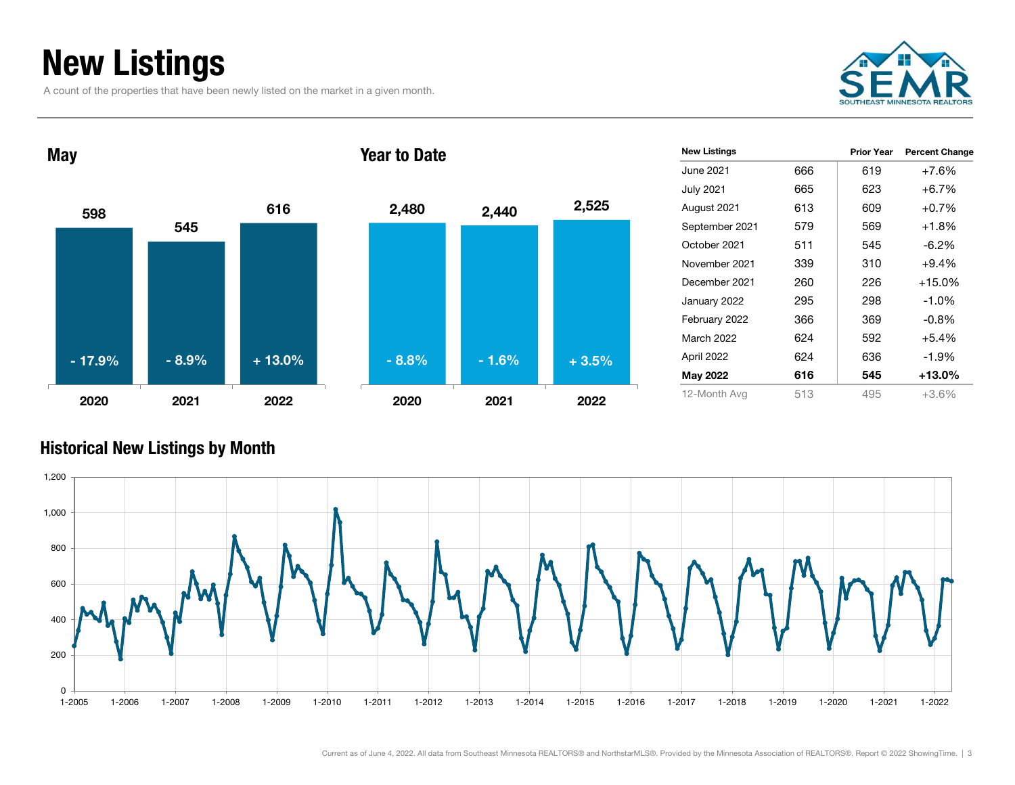### New Listings

A count of the properties that have been newly listed on the market in a given month.





| <b>New Listings</b> |     | Prior Year | <b>Percent Change</b> |
|---------------------|-----|------------|-----------------------|
| June 2021           | 666 | 619        | +7.6%                 |
| <b>July 2021</b>    | 665 | 623        | $+6.7%$               |
| August 2021         | 613 | 609        | $+0.7%$               |
| September 2021      | 579 | 569        | $+1.8%$               |
| October 2021        | 511 | 545        | $-6.2\%$              |
| November 2021       | 339 | 310        | $+9.4%$               |
| December 2021       | 260 | 226        | $+15.0%$              |
| January 2022        | 295 | 298        | $-1.0%$               |
| February 2022       | 366 | 369        | $-0.8\%$              |
| March 2022          | 624 | 592        | $+5.4%$               |
| April 2022          | 624 | 636        | $-1.9%$               |
| May 2022            | 616 | 545        | $+13.0\%$             |
| 12-Month Avg        | 513 | 495        | $+3.6%$               |

#### Historical New Listings by Month

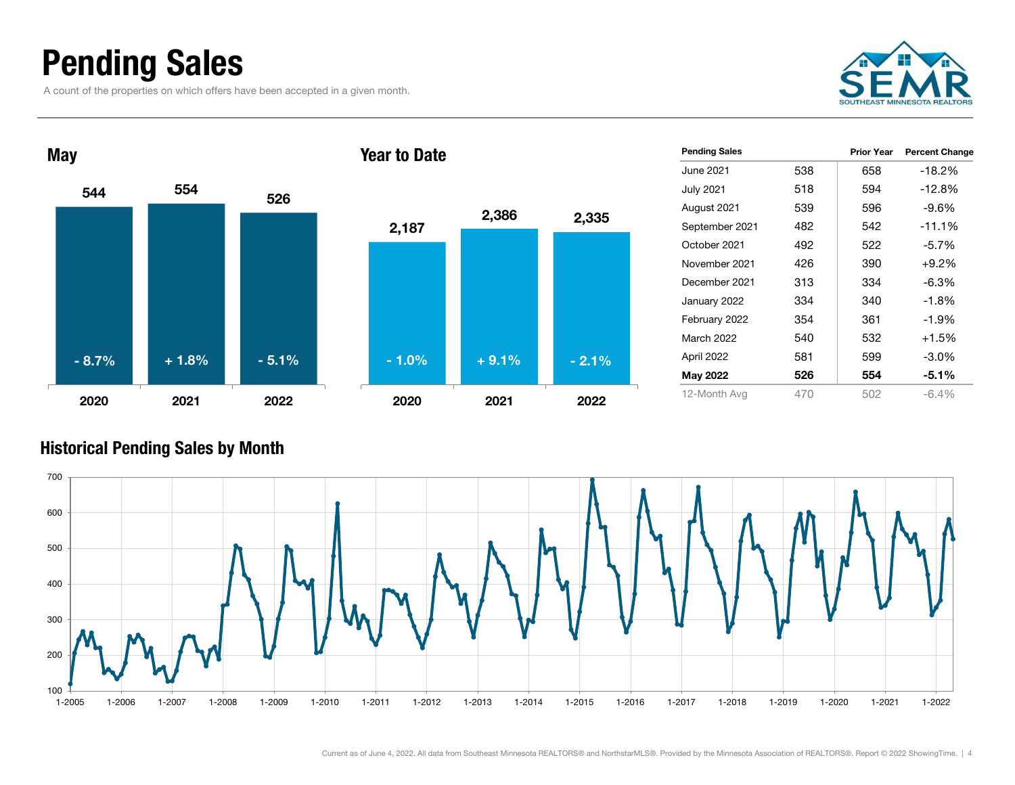### Pending Sales

A count of the properties on which offers have been accepted in a given month.





| <b>Pending Sales</b> |     | Prior Year | <b>Percent Change</b> |
|----------------------|-----|------------|-----------------------|
| June 2021.           | 538 | 658        | -18.2%                |
| <b>July 2021</b>     | 518 | 594        | -12.8%                |
| August 2021          | 539 | 596        | $-9.6%$               |
| September 2021       | 482 | 542        | $-11.1%$              |
| October 2021         | 492 | 522        | $-5.7%$               |
| November 2021        | 426 | 390        | $+9.2%$               |
| December 2021        | 313 | 334        | $-6.3\%$              |
| January 2022         | 334 | 340        | $-1.8%$               |
| February 2022        | 354 | 361        | $-1.9%$               |
| <b>March 2022</b>    | 540 | 532        | $+1.5%$               |
| April 2022           | 581 | 599        | -3.0%                 |
| May 2022             | 526 | 554        | -5.1%                 |
| 12-Month Avg         | 470 | 502        | $-6.4%$               |

#### Historical Pending Sales by Month

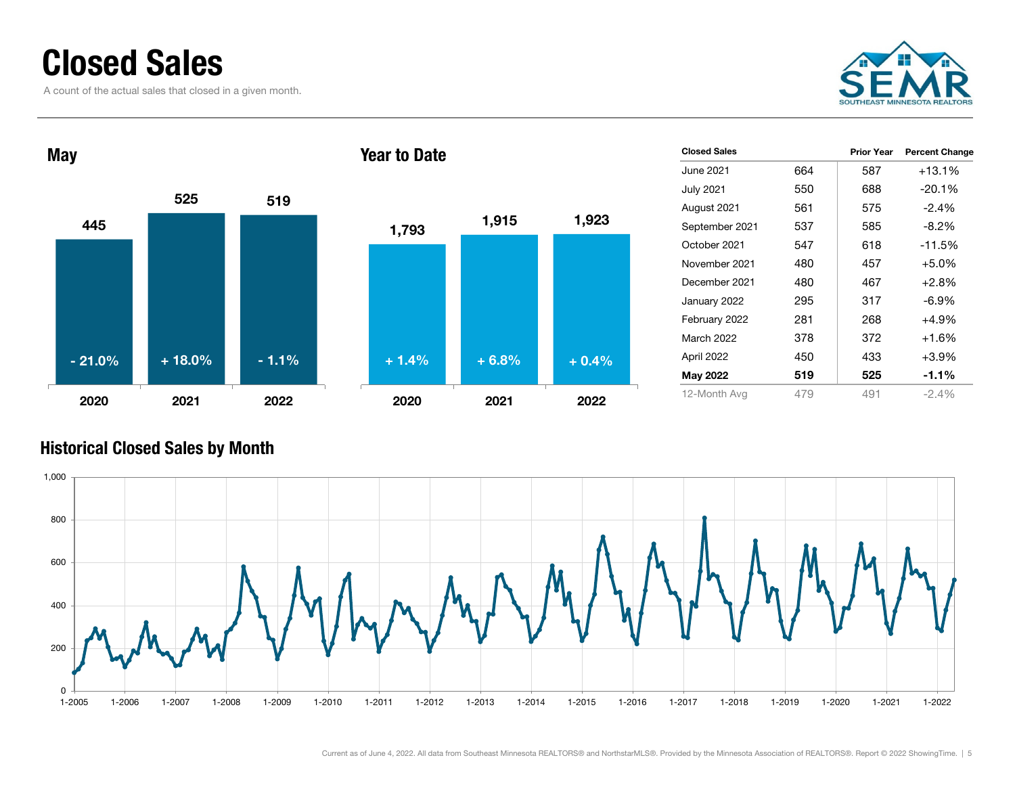### Closed Sales

A count of the actual sales that closed in a given month.





| <b>Closed Sales</b> |     | <b>Prior Year</b> | <b>Percent Change</b> |
|---------------------|-----|-------------------|-----------------------|
| June 2021.          | 664 | 587               | $+13.1%$              |
| <b>July 2021</b>    | 550 | 688               | $-20.1\%$             |
| August 2021         | 561 | 575               | $-2.4%$               |
| September 2021      | 537 | 585               | $-8.2\%$              |
| October 2021        | 547 | 618               | $-11.5%$              |
| November 2021       | 480 | 457               | $+5.0%$               |
| December 2021       | 480 | 467               | $+2.8%$               |
| January 2022        | 295 | 317               | -6.9%                 |
| February 2022       | 281 | 268               | $+4.9%$               |
| <b>March 2022</b>   | 378 | 372               | $+1.6%$               |
| April 2022          | 450 | 433               | +3.9%                 |
| <b>May 2022</b>     | 519 | 525               | $-1.1\%$              |
| 12-Month Avg        | 479 | 491               | $-2.4\%$              |
|                     |     |                   |                       |

#### Historical Closed Sales by Month

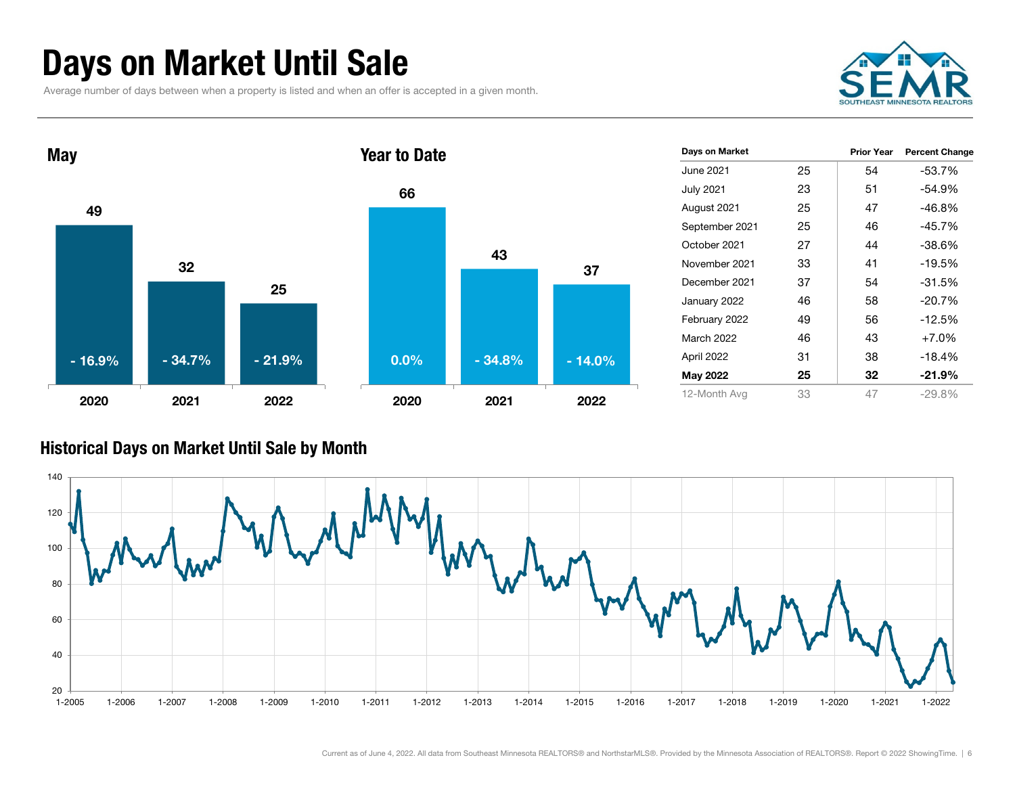### Days on Market Until Sale

Average number of days between when a property is listed and when an offer is accepted in a given month.





#### Historical Days on Market Until Sale by Month

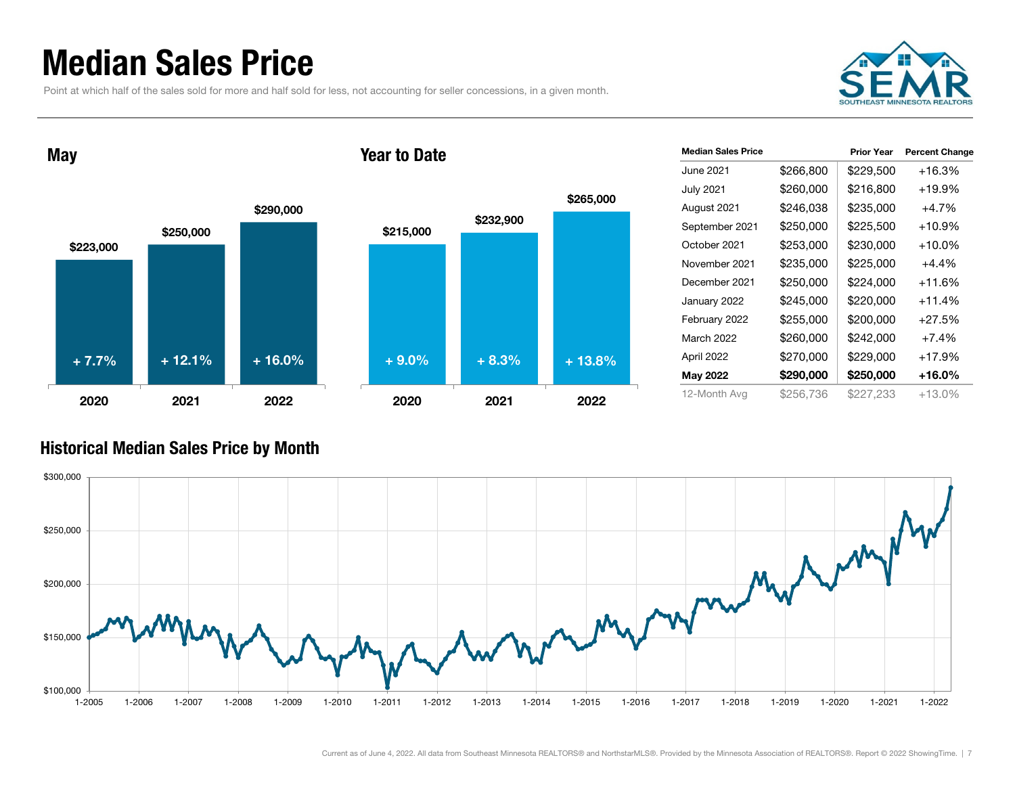### Median Sales Price

Point at which half of the sales sold for more and half sold for less, not accounting for seller concessions, in a given month.



May





| <b>Median Sales Price</b> |           | <b>Prior Year</b> | <b>Percent Change</b> |
|---------------------------|-----------|-------------------|-----------------------|
| June 2021                 | \$266,800 | \$229,500         | $+16.3%$              |
| <b>July 2021</b>          | \$260,000 | \$216,800         | +19.9%                |
| August 2021               | \$246,038 | \$235,000         | $+4.7%$               |
| September 2021            | \$250,000 | \$225,500         | $+10.9%$              |
| October 2021              | \$253,000 | \$230,000         | $+10.0\%$             |
| November 2021             | \$235,000 | \$225,000         | $+4.4%$               |
| December 2021             | \$250,000 | \$224.000         | +11.6%                |
| January 2022              | \$245,000 | \$220,000         | $+11.4%$              |
| February 2022             | \$255,000 | \$200,000         | $+27.5%$              |
| March 2022                | \$260,000 | \$242,000         | $+7.4%$               |
| April 2022                | \$270,000 | \$229,000         | +17.9%                |
| May 2022                  | \$290,000 | \$250,000         | +16.0%                |
| 12-Month Avg              | \$256.736 | \$227,233         | +13.0%                |

#### Historical Median Sales Price by Month

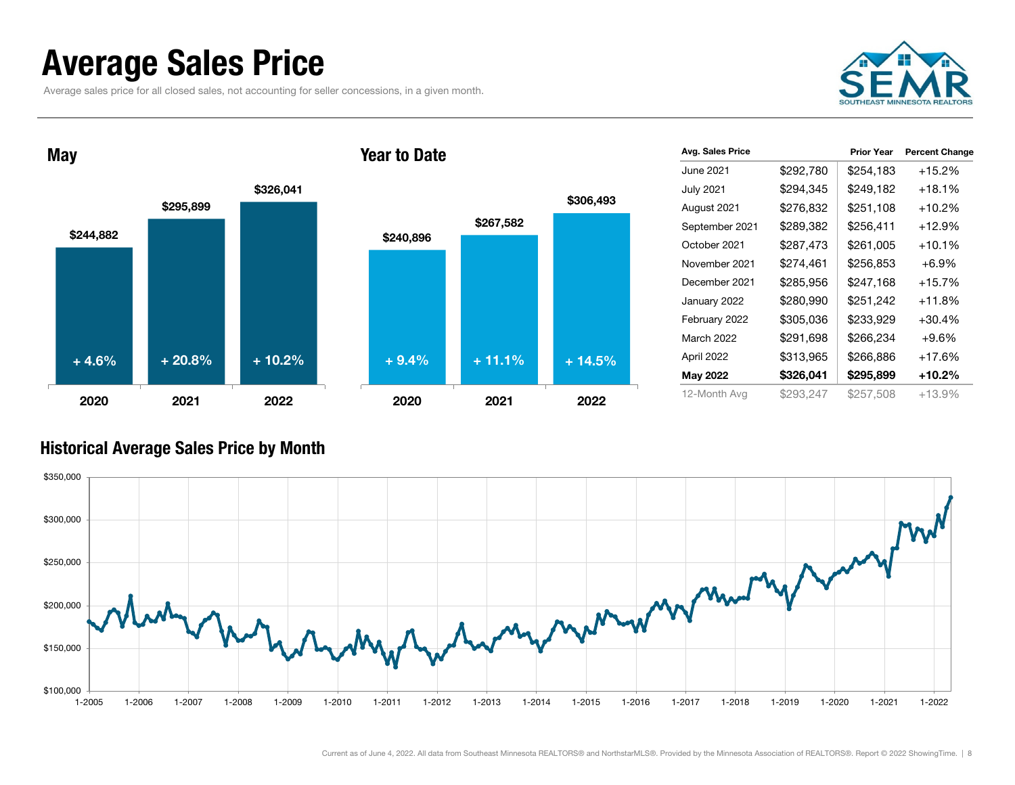### Average Sales Price

Average sales price for all closed sales, not accounting for seller concessions, in a given month.





|           | <b>Prior Year</b> | <b>Percent Change</b> |
|-----------|-------------------|-----------------------|
| \$292,780 | \$254,183         | $+15.2%$              |
| \$294,345 | \$249,182         | $+18.1%$              |
| \$276,832 | \$251,108         | +10.2%                |
| \$289,382 | \$256,411         | $+12.9\%$             |
| \$287,473 | \$261,005         | $+10.1%$              |
| \$274.461 | \$256,853         | $+6.9\%$              |
| \$285,956 | \$247,168         | $+15.7%$              |
| \$280,990 | \$251,242         | $+11.8\%$             |
| \$305,036 | \$233,929         | $+30.4%$              |
| \$291,698 | \$266,234         | $+9.6\%$              |
| \$313,965 | \$266,886         | +17.6%                |
| \$326,041 | \$295,899         | +10.2%                |
| \$293,247 | \$257,508         | +13.9%                |
|           |                   |                       |

#### Historical Average Sales Price by Month



\$306,493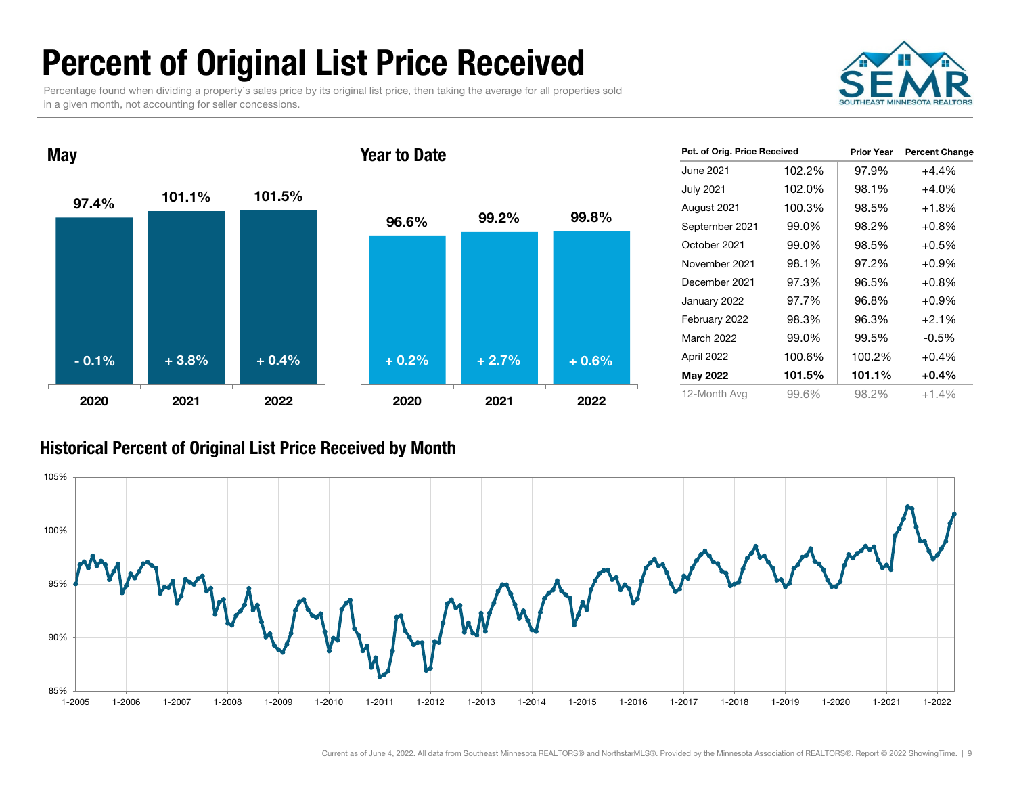### Percent of Original List Price Received

Percentage found when dividing a property's sales price by its original list price, then taking the average for all properties sold in a given month, not accounting for seller concessions.





| Pct. of Orig. Price Received |        | <b>Prior Year</b> | <b>Percent Change</b> |
|------------------------------|--------|-------------------|-----------------------|
| June 2021.                   | 102.2% | 97.9%             | $+4.4%$               |
| <b>July 2021</b>             | 102.0% | 98.1%             | $+4.0%$               |
| August 2021                  | 100.3% | 98.5%             | $+1.8%$               |
| September 2021               | 99.0%  | 98.2%             | $+0.8\%$              |
| October 2021                 | 99.0%  | 98.5%             | $+0.5%$               |
| November 2021                | 98.1%  | 97.2%             | $+0.9\%$              |
| December 2021                | 97.3%  | 96.5%             | $+0.8%$               |
| January 2022                 | 97.7%  | 96.8%             | $+0.9%$               |
| February 2022                | 98.3%  | 96.3%             | $+2.1%$               |
| March 2022                   | 99.0%  | 99.5%             | -0.5%                 |
| April 2022                   | 100.6% | 100.2%            | $+0.4%$               |
| <b>May 2022</b>              | 101.5% |                   | $+0.4\%$              |
| 12-Month Avg                 | 99.6%  | 98.2%             | $+1.4%$               |

#### Historical Percent of Original List Price Received by Month

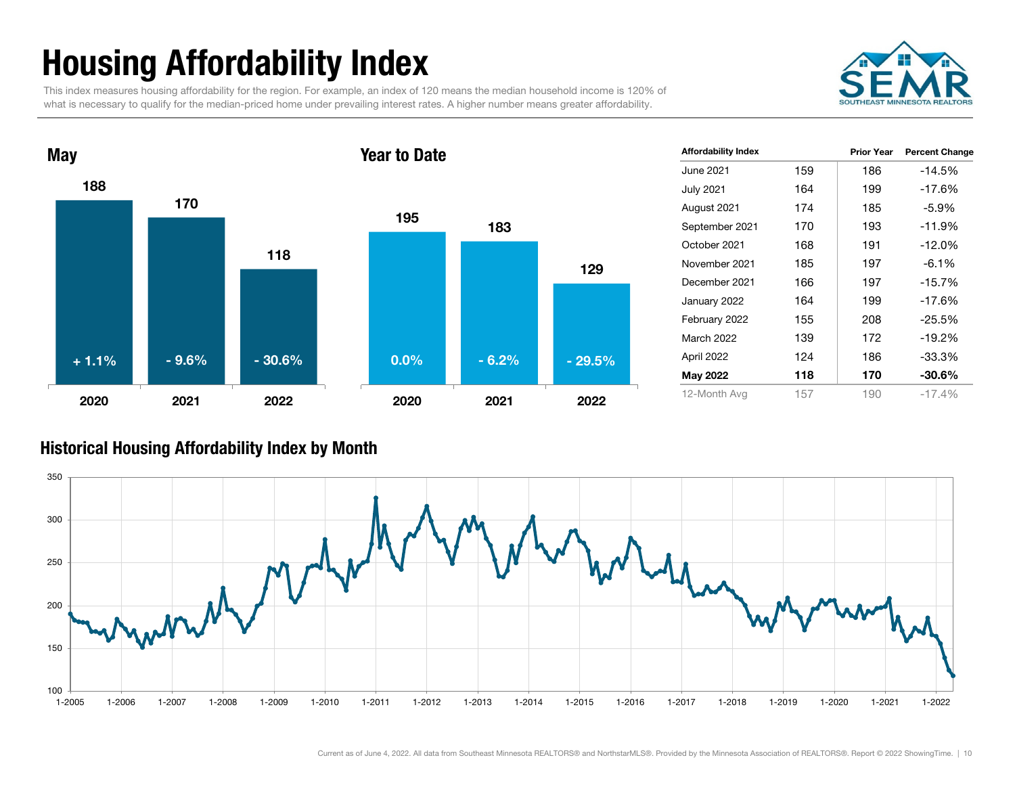## Housing Affordability Index

This index measures housing affordability for the region. For example, an index of 120 means the median household income is 120% of what is necessary to qualify for the median-priced home under prevailing interest rates. A higher number means greater affordability.





| <b>Affordability Index</b> |     | <b>Prior Year</b> | <b>Percent Change</b> |
|----------------------------|-----|-------------------|-----------------------|
| June 2021                  | 159 | 186               | $-14.5%$              |
| <b>July 2021</b>           | 164 | 199               | $-17.6%$              |
| August 2021                | 174 | 185               | $-5.9\%$              |
| September 2021             | 170 | 193               | $-11.9%$              |
| October 2021               | 168 | 191               | $-12.0%$              |
| November 2021              | 185 | 197               | $-6.1%$               |
| December 2021              | 166 | 197               | $-15.7%$              |
| January 2022               | 164 | 199               | $-17.6%$              |
| February 2022              | 155 | 208               | $-25.5%$              |
| March 2022                 | 139 | 172               | $-19.2%$              |
| April 2022                 | 124 | 186               | -33.3%                |
| <b>May 2022</b>            | 118 | 170               | $-30.6\%$             |
| 12-Month Avg               | 157 | 190               | $-17.4%$              |

#### Historical Housing Affordability Index by Mont h

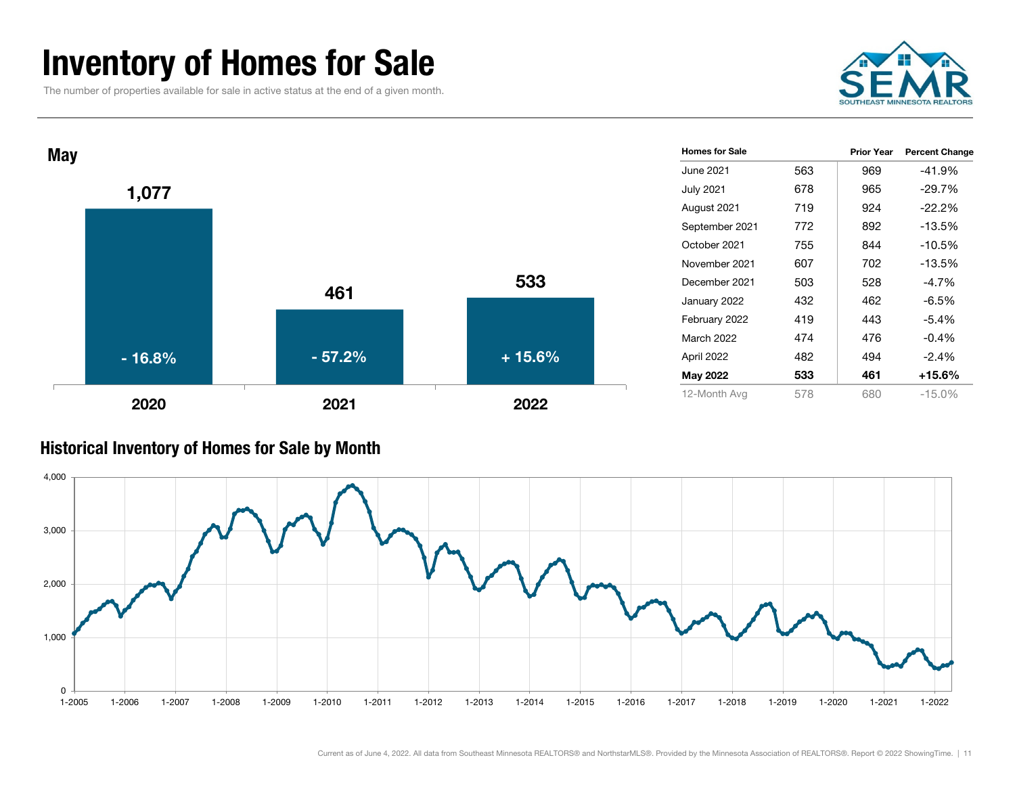### Inventory of Homes for Sale

The number of properties available for sale in active status at the end of a given month.





#### Historical Inventory of Homes for Sale by Month

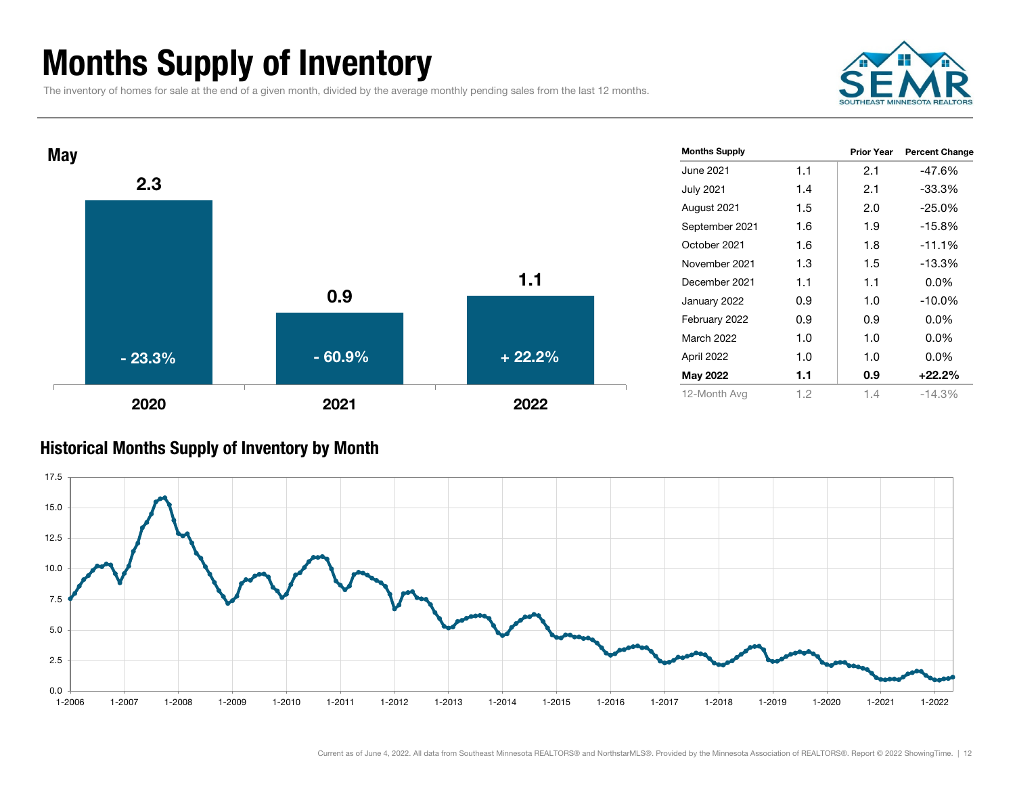### Months Supply of Inventory

The inventory of homes for sale at the end of a given month, divided by the average monthly pending sales from the last 12 months.





#### Historical Months Supply of Inventory by Month